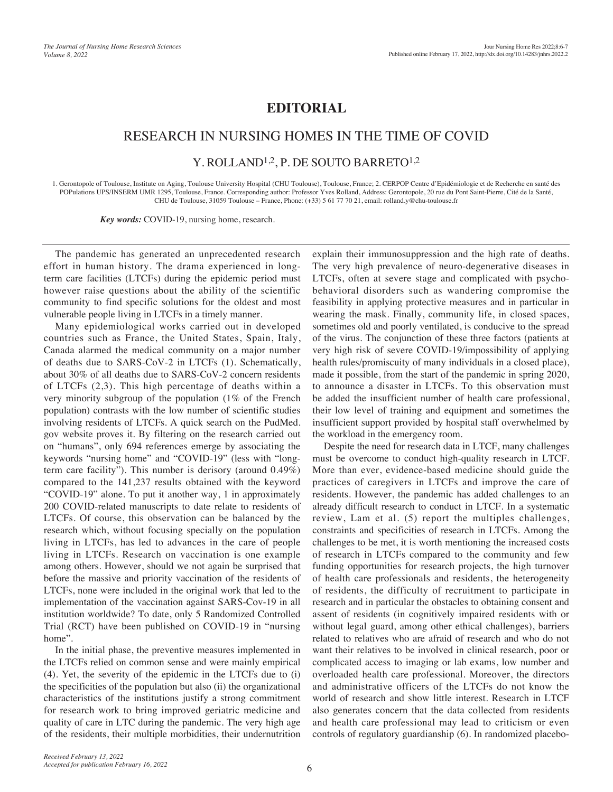## **EDITORIAL**

## RESEARCH IN NURSING HOMES IN THE TIME OF COVID

Y. ROLLAND<sup>1,2</sup>, P. DE SOUTO BARRETO<sup>1,2</sup>

1. Gerontopole of Toulouse, Institute on Aging, Toulouse University Hospital (CHU Toulouse), Toulouse, France; 2. CERPOP Centre d'Epidémiologie et de Recherche en santé des POPulations UPS/INSERM UMR 1295, Toulouse, France. Corresponding author: Professor Yves Rolland, Address: Gerontopole, 20 rue du Pont Saint-Pierre, Cité de la Santé, CHU de Toulouse, 31059 Toulouse – France, Phone: (+33) 5 61 77 70 21, email: rolland.y@chu-toulouse.fr

*Key words:* COVID-19, nursing home, research.

The pandemic has generated an unprecedented research effort in human history. The drama experienced in longterm care facilities (LTCFs) during the epidemic period must however raise questions about the ability of the scientific community to find specific solutions for the oldest and most vulnerable people living in LTCFs in a timely manner.

Many epidemiological works carried out in developed countries such as France, the United States, Spain, Italy, Canada alarmed the medical community on a major number of deaths due to SARS-CoV-2 in LTCFs (1). Schematically, about 30% of all deaths due to SARS-CoV-2 concern residents of LTCFs (2,3). This high percentage of deaths within a very minority subgroup of the population (1% of the French population) contrasts with the low number of scientific studies involving residents of LTCFs. A quick search on the PudMed. gov website proves it. By filtering on the research carried out on "humans", only 694 references emerge by associating the keywords "nursing home" and "COVID-19" (less with "longterm care facility"). This number is derisory (around 0.49%) compared to the 141,237 results obtained with the keyword "COVID-19" alone. To put it another way, 1 in approximately 200 COVID-related manuscripts to date relate to residents of LTCFs. Of course, this observation can be balanced by the research which, without focusing specially on the population living in LTCFs, has led to advances in the care of people living in LTCFs. Research on vaccination is one example among others. However, should we not again be surprised that before the massive and priority vaccination of the residents of LTCFs, none were included in the original work that led to the implementation of the vaccination against SARS-Cov-19 in all institution worldwide? To date, only 5 Randomized Controlled Trial (RCT) have been published on COVID-19 in "nursing home".

In the initial phase, the preventive measures implemented in the LTCFs relied on common sense and were mainly empirical (4). Yet, the severity of the epidemic in the LTCFs due to (i) the specificities of the population but also (ii) the organizational characteristics of the institutions justify a strong commitment for research work to bring improved geriatric medicine and quality of care in LTC during the pandemic. The very high age of the residents, their multiple morbidities, their undernutrition

explain their immunosuppression and the high rate of deaths. The very high prevalence of neuro-degenerative diseases in LTCFs, often at severe stage and complicated with psychobehavioral disorders such as wandering compromise the feasibility in applying protective measures and in particular in wearing the mask. Finally, community life, in closed spaces, sometimes old and poorly ventilated, is conducive to the spread of the virus. The conjunction of these three factors (patients at very high risk of severe COVID-19/impossibility of applying health rules/promiscuity of many individuals in a closed place), made it possible, from the start of the pandemic in spring 2020, to announce a disaster in LTCFs. To this observation must be added the insufficient number of health care professional, their low level of training and equipment and sometimes the insufficient support provided by hospital staff overwhelmed by the workload in the emergency room.

Despite the need for research data in LTCF, many challenges must be overcome to conduct high-quality research in LTCF. More than ever, evidence-based medicine should guide the practices of caregivers in LTCFs and improve the care of residents. However, the pandemic has added challenges to an already difficult research to conduct in LTCF. In a systematic review, Lam et al. (5) report the multiples challenges, constraints and specificities of research in LTCFs. Among the challenges to be met, it is worth mentioning the increased costs of research in LTCFs compared to the community and few funding opportunities for research projects, the high turnover of health care professionals and residents, the heterogeneity of residents, the difficulty of recruitment to participate in research and in particular the obstacles to obtaining consent and assent of residents (in cognitively impaired residents with or without legal guard, among other ethical challenges), barriers related to relatives who are afraid of research and who do not want their relatives to be involved in clinical research, poor or complicated access to imaging or lab exams, low number and overloaded health care professional. Moreover, the directors and administrative officers of the LTCFs do not know the world of research and show little interest. Research in LTCF also generates concern that the data collected from residents and health care professional may lead to criticism or even controls of regulatory guardianship (6). In randomized placebo-